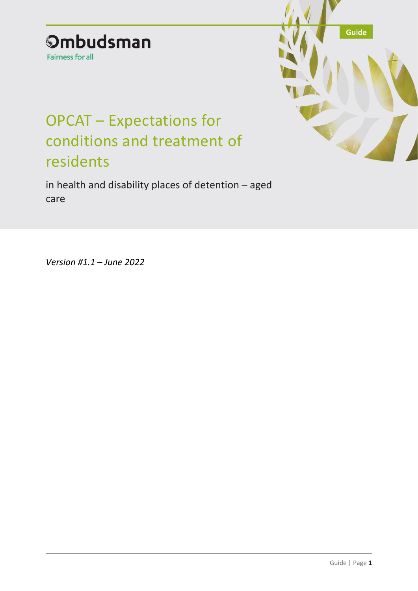# **Ombudsman**

Fairness for all

# OPCAT – Expectations for conditions and treatment of residents

in health and disability places of detention – aged care



*Version #1.1 – June 2022*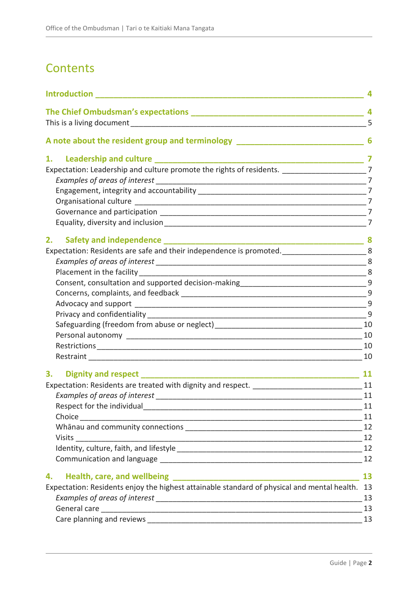# **Contents**

| <b>Introduction Exercise 2020</b>                                                                 |           |
|---------------------------------------------------------------------------------------------------|-----------|
|                                                                                                   |           |
|                                                                                                   | 5         |
| A note about the resident group and terminology _________________________________ 6               |           |
| 1.                                                                                                |           |
| Expectation: Leadership and culture promote the rights of residents. _________________________7   |           |
|                                                                                                   |           |
|                                                                                                   |           |
|                                                                                                   |           |
|                                                                                                   |           |
|                                                                                                   |           |
| 2.<br>Safety and independence _______                                                             |           |
| Expectation: Residents are safe and their independence is promoted. ________________________8     |           |
|                                                                                                   | 8         |
|                                                                                                   |           |
|                                                                                                   |           |
|                                                                                                   |           |
|                                                                                                   | 9         |
|                                                                                                   |           |
|                                                                                                   |           |
|                                                                                                   |           |
|                                                                                                   | 10        |
|                                                                                                   | 10        |
| 3.<br><b>Dignity and respect</b>                                                                  | <b>11</b> |
| Expectation: Residents are treated with dignity and respect. __________________________________11 |           |
|                                                                                                   | 11        |
|                                                                                                   | 11        |
|                                                                                                   |           |
|                                                                                                   | 12        |
|                                                                                                   |           |
|                                                                                                   |           |
|                                                                                                   | 12        |
| 4.                                                                                                | 13        |
| Expectation: Residents enjoy the highest attainable standard of physical and mental health.       | 13        |
|                                                                                                   | 13        |
|                                                                                                   |           |
|                                                                                                   | 13        |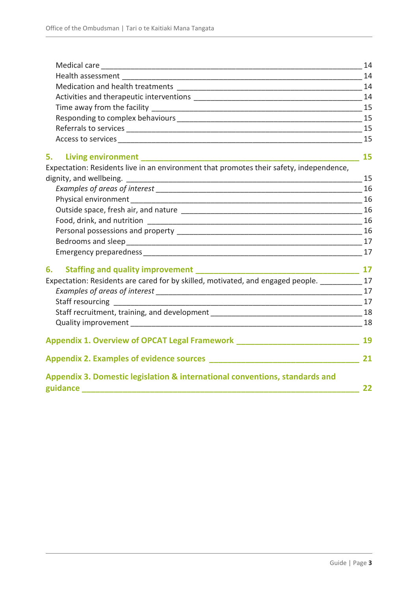|                                                                                                                         | 14 |
|-------------------------------------------------------------------------------------------------------------------------|----|
|                                                                                                                         |    |
|                                                                                                                         | 14 |
|                                                                                                                         |    |
|                                                                                                                         |    |
|                                                                                                                         | 15 |
|                                                                                                                         |    |
|                                                                                                                         |    |
| 5.                                                                                                                      | 15 |
| Expectation: Residents live in an environment that promotes their safety, independence,                                 |    |
|                                                                                                                         | 15 |
|                                                                                                                         |    |
|                                                                                                                         | 16 |
|                                                                                                                         |    |
|                                                                                                                         |    |
|                                                                                                                         |    |
|                                                                                                                         |    |
|                                                                                                                         |    |
| 6.                                                                                                                      | 17 |
| Expectation: Residents are cared for by skilled, motivated, and engaged people. __________                              | 17 |
|                                                                                                                         |    |
| Staff resourcing [199]<br>17                                                                                            |    |
|                                                                                                                         |    |
| $\sim$ 18                                                                                                               |    |
| Appendix 1. Overview of OPCAT Legal Framework <b>Constanting the Constanting Constanting Constanting Constanting Co</b> | 19 |
|                                                                                                                         | 21 |
| Appendix 3. Domestic legislation & international conventions, standards and<br>guidance ____                            | 22 |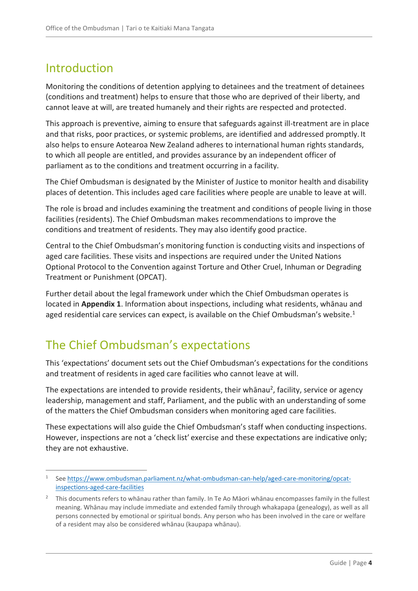# <span id="page-3-0"></span>Introduction

Monitoring the conditions of detention applying to detainees and the treatment of detainees (conditions and treatment) helps to ensure that those who are deprived of their liberty, and cannot leave at will, are treated humanely and their rights are respected and protected.

This approach is preventive, aiming to ensure that safeguards against ill-treatment are in place and that risks, poor practices, or systemic problems, are identified and addressed promptly. It also helps to ensure Aotearoa New Zealand adheres to international human rights standards, to which all people are entitled, and provides assurance by an independent officer of parliament as to the conditions and treatment occurring in a facility.

The Chief Ombudsman is designated by the Minister of Justice to monitor health and disability places of detention. This includes aged care facilities where people are unable to leave at will.

The role is broad and includes examining the treatment and conditions of people living in those facilities (residents). The Chief Ombudsman makes recommendations to improve the conditions and treatment of residents. They may also identify good practice.

Central to the Chief Ombudsman's monitoring function is conducting visits and inspections of aged care facilities. These visits and inspections are required under the United Nations Optional Protocol to the Convention against Torture and Other Cruel, Inhuman or Degrading Treatment or Punishment (OPCAT).

Further detail about the legal framework under which the Chief Ombudsman operates is located in **Appendix 1**. Information about inspections, including what residents, whānau and aged residential care services can expect, is available on the Chief Ombudsman's website.<sup>1</sup>

# <span id="page-3-1"></span>The Chief Ombudsman's expectations

This 'expectations' document sets out the Chief Ombudsman's expectations for the conditions and treatment of residents in aged care facilities who cannot leave at will.

The expectations are intended to provide residents, their whānau<sup>2</sup>, facility, service or agency leadership, management and staff, Parliament, and the public with an understanding of some of the matters the Chief Ombudsman considers when monitoring aged care facilities.

These expectations will also guide the Chief Ombudsman's staff when conducting inspections. However, inspections are not a 'check list' exercise and these expectations are indicative only; they are not exhaustive.

 $\overline{a}$ 1 See [https://www.ombudsman.parliament.nz/what-ombudsman-can-help/aged-care-monitoring/opcat](https://www.ombudsman.parliament.nz/what-ombudsman-can-help/aged-care-monitoring/opcat-inspections-aged-care-facilities)[inspections-aged-care-facilities](https://www.ombudsman.parliament.nz/what-ombudsman-can-help/aged-care-monitoring/opcat-inspections-aged-care-facilities)

<sup>&</sup>lt;sup>2</sup> This documents refers to whānau rather than family. In Te Ao Māori whānau encompasses family in the fullest meaning. Whānau may include immediate and extended family through whakapapa (genealogy), as well as all persons connected by emotional or spiritual bonds. Any person who has been involved in the care or welfare of a resident may also be considered whānau (kaupapa whānau).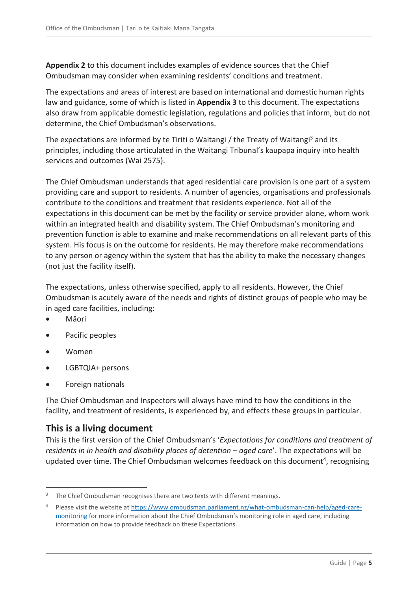**Appendix 2** to this document includes examples of evidence sources that the Chief Ombudsman may consider when examining residents' conditions and treatment.

The expectations and areas of interest are based on international and domestic human rights law and guidance, some of which is listed in **Appendix 3** to this document. The expectations also draw from applicable domestic legislation, regulations and policies that inform, but do not determine, the Chief Ombudsman's observations.

The expectations are informed by te Tiriti o Waitangi / the Treaty of Waitangi<sup>3</sup> and its principles, including those articulated in the Waitangi Tribunal's kaupapa inquiry into health services and outcomes (Wai 2575).

The Chief Ombudsman understands that aged residential care provision is one part of a system providing care and support to residents. A number of agencies, organisations and professionals contribute to the conditions and treatment that residents experience. Not all of the expectations in this document can be met by the facility or service provider alone, whom work within an integrated health and disability system. The Chief Ombudsman's monitoring and prevention function is able to examine and make recommendations on all relevant parts of this system. His focus is on the outcome for residents. He may therefore make recommendations to any person or agency within the system that has the ability to make the necessary changes (not just the facility itself).

The expectations, unless otherwise specified, apply to all residents. However, the Chief Ombudsman is acutely aware of the needs and rights of distinct groups of people who may be in aged care facilities, including:

- Māori
- Pacific peoples
- Women

 $\overline{a}$ 

- LGBTQIA+ persons
- Foreign nationals

The Chief Ombudsman and Inspectors will always have mind to how the conditions in the facility, and treatment of residents, is experienced by, and effects these groups in particular.

# <span id="page-4-0"></span>**This is a living document**

This is the first version of the Chief Ombudsman's '*Expectations for conditions and treatment of residents in in health and disability places of detention – aged care'. The expectations will be* updated over time. The Chief Ombudsman welcomes feedback on this document<sup>4</sup>, recognising

The Chief Ombudsman recognises there are two texts with different meanings.

<sup>4</sup> Please visit the website at [https://www.ombudsman.parliament.nz/what-ombudsman-can-help/aged-care](https://www.ombudsman.parliament.nz/what-ombudsman-can-help/aged-care-monitoring)[monitoring](https://www.ombudsman.parliament.nz/what-ombudsman-can-help/aged-care-monitoring) for more information about the Chief Ombudsman's monitoring role in aged care, including information on how to provide feedback on these Expectations.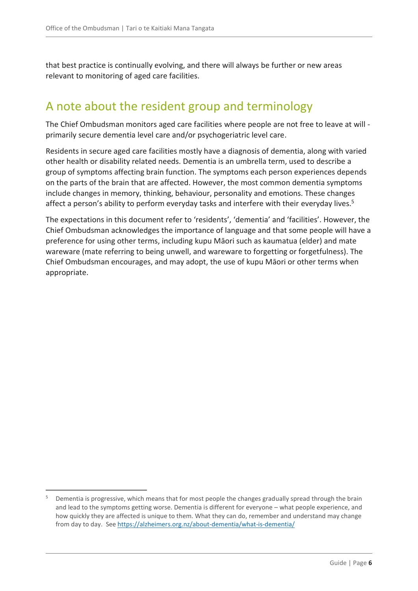that best practice is continually evolving, and there will always be further or new areas relevant to monitoring of aged care facilities.

# <span id="page-5-0"></span>A note about the resident group and terminology

The Chief Ombudsman monitors aged care facilities where people are not free to leave at will primarily secure dementia level care and/or psychogeriatric level care.

Residents in secure aged care facilities mostly have a diagnosis of dementia, along with varied other health or disability related needs. Dementia is an umbrella term, used to describe a group of symptoms affecting brain function. The symptoms each person experiences depends on the parts of the brain that are affected. However, the most common dementia symptoms include changes in memory, thinking, behaviour, personality and emotions. These changes affect a person's ability to perform everyday tasks and interfere with their everyday lives.<sup>5</sup>

The expectations in this document refer to 'residents', 'dementia' and 'facilities'. However, the Chief Ombudsman acknowledges the importance of language and that some people will have a preference for using other terms, including kupu Māori such as kaumatua (elder) and mate wareware (mate referring to being unwell, and wareware to forgetting or forgetfulness). The Chief Ombudsman encourages, and may adopt, the use of kupu Māori or other terms when appropriate.

 $\overline{a}$ 

<sup>&</sup>lt;sup>5</sup> Dementia is progressive, which means that for most people the changes gradually spread through the brain and lead to the symptoms getting worse. Dementia is different for everyone – what people experience, and how quickly they are affected is unique to them. What they can do, remember and understand may change from day to day. Se[e https://alzheimers.org.nz/about-dementia/what-is-dementia/](https://alzheimers.org.nz/about-dementia/what-is-dementia/)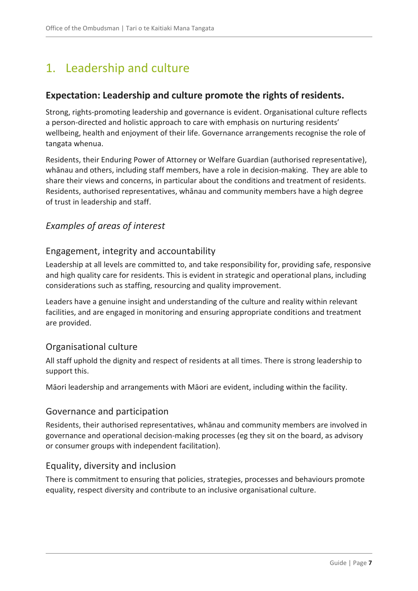# <span id="page-6-0"></span>1. Leadership and culture

# <span id="page-6-1"></span>**Expectation: Leadership and culture promote the rights of residents.**

Strong, rights-promoting leadership and governance is evident. Organisational culture reflects a person-directed and holistic approach to care with emphasis on nurturing residents' wellbeing, health and enjoyment of their life. Governance arrangements recognise the role of tangata whenua.

Residents, their Enduring Power of Attorney or Welfare Guardian (authorised representative), whānau and others, including staff members, have a role in decision-making. They are able to share their views and concerns, in particular about the conditions and treatment of residents. Residents, authorised representatives, whānau and community members have a high degree of trust in leadership and staff.

# <span id="page-6-2"></span>*Examples of areas of interest*

#### <span id="page-6-3"></span>Engagement, integrity and accountability

Leadership at all levels are committed to, and take responsibility for, providing safe, responsive and high quality care for residents. This is evident in strategic and operational plans, including considerations such as staffing, resourcing and quality improvement.

Leaders have a genuine insight and understanding of the culture and reality within relevant facilities, and are engaged in monitoring and ensuring appropriate conditions and treatment are provided.

#### <span id="page-6-4"></span>Organisational culture

All staff uphold the dignity and respect of residents at all times. There is strong leadership to support this.

Māori leadership and arrangements with Māori are evident, including within the facility.

#### <span id="page-6-5"></span>Governance and participation

Residents, their authorised representatives, whānau and community members are involved in governance and operational decision-making processes (eg they sit on the board, as advisory or consumer groups with independent facilitation).

#### <span id="page-6-6"></span>Equality, diversity and inclusion

There is commitment to ensuring that policies, strategies, processes and behaviours promote equality, respect diversity and contribute to an inclusive organisational culture.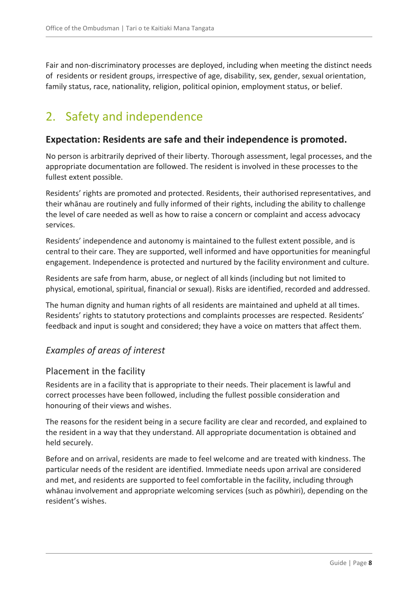Fair and non-discriminatory processes are deployed, including when meeting the distinct needs of residents or resident groups, irrespective of age, disability, sex, gender, sexual orientation, family status, race, nationality, religion, political opinion, employment status, or belief.

# <span id="page-7-0"></span>2. Safety and independence

### <span id="page-7-1"></span>**Expectation: Residents are safe and their independence is promoted.**

No person is arbitrarily deprived of their liberty. Thorough assessment, legal processes, and the appropriate documentation are followed. The resident is involved in these processes to the fullest extent possible.

Residents' rights are promoted and protected. Residents, their authorised representatives, and their whānau are routinely and fully informed of their rights, including the ability to challenge the level of care needed as well as how to raise a concern or complaint and access advocacy services.

Residents' independence and autonomy is maintained to the fullest extent possible, and is central to their care. They are supported, well informed and have opportunities for meaningful engagement. Independence is protected and nurtured by the facility environment and culture.

Residents are safe from harm, abuse, or neglect of all kinds (including but not limited to physical, emotional, spiritual, financial or sexual). Risks are identified, recorded and addressed.

The human dignity and human rights of all residents are maintained and upheld at all times. Residents' rights to statutory protections and complaints processes are respected. Residents' feedback and input is sought and considered; they have a voice on matters that affect them.

# <span id="page-7-2"></span>*Examples of areas of interest*

#### <span id="page-7-3"></span>Placement in the facility

Residents are in a facility that is appropriate to their needs. Their placement is lawful and correct processes have been followed, including the fullest possible consideration and honouring of their views and wishes.

The reasons for the resident being in a secure facility are clear and recorded, and explained to the resident in a way that they understand. All appropriate documentation is obtained and held securely.

Before and on arrival, residents are made to feel welcome and are treated with kindness. The particular needs of the resident are identified. Immediate needs upon arrival are considered and met, and residents are supported to feel comfortable in the facility, including through whānau involvement and appropriate welcoming services (such as pōwhiri), depending on the resident's wishes.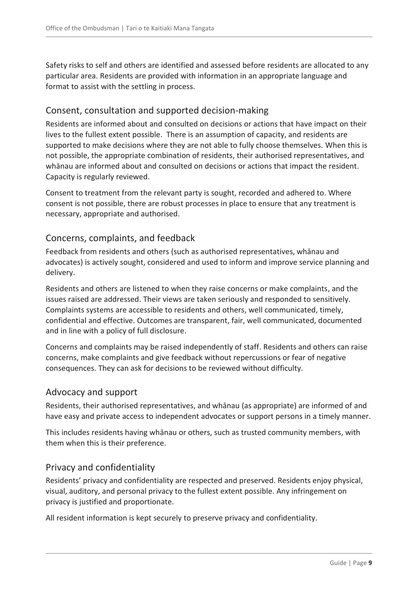Safety risks to self and others are identified and assessed before residents are allocated to any particular area. Residents are provided with information in an appropriate language and format to assist with the settling in process.

# <span id="page-8-0"></span>Consent, consultation and supported decision-making

Residents are informed about and consulted on decisions or actions that have impact on their lives to the fullest extent possible. There is an assumption of capacity, and residents are supported to make decisions where they are not able to fully choose themselves. When this is not possible, the appropriate combination of residents, their authorised representatives, and whānau are informed about and consulted on decisions or actions that impact the resident. Capacity is regularly reviewed.

Consent to treatment from the relevant party is sought, recorded and adhered to. Where consent is not possible, there are robust processes in place to ensure that any treatment is necessary, appropriate and authorised.

# <span id="page-8-1"></span>Concerns, complaints, and feedback

Feedback from residents and others (such as authorised representatives, whānau and advocates) is actively sought, considered and used to inform and improve service planning and delivery.

Residents and others are listened to when they raise concerns or make complaints, and the issues raised are addressed. Their views are taken seriously and responded to sensitively. Complaints systems are accessible to residents and others, well communicated, timely, confidential and effective. Outcomes are transparent, fair, well communicated, documented and in line with a policy of full disclosure.

Concerns and complaints may be raised independently of staff. Residents and others can raise concerns, make complaints and give feedback without repercussions or fear of negative consequences. They can ask for decisions to be reviewed without difficulty.

# <span id="page-8-2"></span>Advocacy and support

Residents, their authorised representatives, and whānau (as appropriate) are informed of and have easy and private access to independent advocates or support persons in a timely manner.

This includes residents having whānau or others, such as trusted community members, with them when this is their preference.

# <span id="page-8-3"></span>Privacy and confidentiality

Residents' privacy and confidentiality are respected and preserved. Residents enjoy physical, visual, auditory, and personal privacy to the fullest extent possible. Any infringement on privacy is justified and proportionate.

All resident information is kept securely to preserve privacy and confidentiality.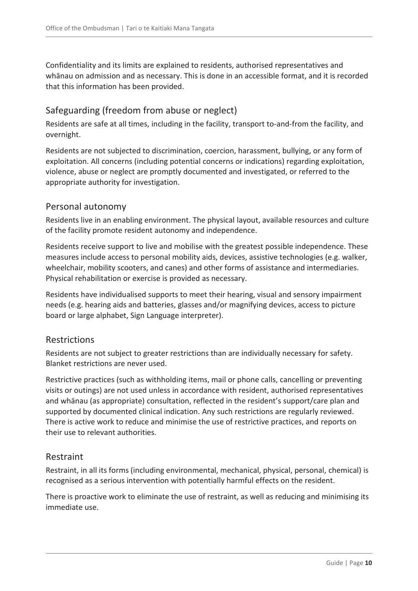Confidentiality and its limits are explained to residents, authorised representatives and whānau on admission and as necessary. This is done in an accessible format, and it is recorded that this information has been provided.

# <span id="page-9-0"></span>Safeguarding (freedom from abuse or neglect)

Residents are safe at all times, including in the facility, transport to-and-from the facility, and overnight.

Residents are not subjected to discrimination, coercion, harassment, bullying, or any form of exploitation. All concerns (including potential concerns or indications) regarding exploitation, violence, abuse or neglect are promptly documented and investigated, or referred to the appropriate authority for investigation.

# <span id="page-9-1"></span>Personal autonomy

Residents live in an enabling environment. The physical layout, available resources and culture of the facility promote resident autonomy and independence.

Residents receive support to live and mobilise with the greatest possible independence. These measures include access to personal mobility aids, devices, assistive technologies (e.g. walker, wheelchair, mobility scooters, and canes) and other forms of assistance and intermediaries. Physical rehabilitation or exercise is provided as necessary.

Residents have individualised supports to meet their hearing, visual and sensory impairment needs (e.g. hearing aids and batteries, glasses and/or magnifying devices, access to picture board or large alphabet, Sign Language interpreter).

# <span id="page-9-2"></span>Restrictions

Residents are not subject to greater restrictions than are individually necessary for safety. Blanket restrictions are never used.

Restrictive practices (such as withholding items, mail or phone calls, cancelling or preventing visits or outings) are not used unless in accordance with resident, authorised representatives and whānau (as appropriate) consultation, reflected in the resident's support/care plan and supported by documented clinical indication. Any such restrictions are regularly reviewed. There is active work to reduce and minimise the use of restrictive practices, and reports on their use to relevant authorities.

# <span id="page-9-3"></span>Restraint

Restraint, in all its forms (including environmental, mechanical, physical, personal, chemical) is recognised as a serious intervention with potentially harmful effects on the resident.

There is proactive work to eliminate the use of restraint, as well as reducing and minimising its immediate use.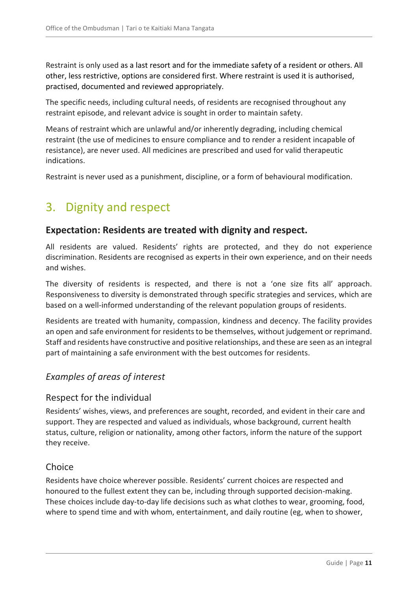Restraint is only used as a last resort and for the immediate safety of a resident or others. All other, less restrictive, options are considered first. Where restraint is used it is authorised, practised, documented and reviewed appropriately.

The specific needs, including cultural needs, of residents are recognised throughout any restraint episode, and relevant advice is sought in order to maintain safety.

Means of restraint which are unlawful and/or inherently degrading, including chemical restraint (the use of medicines to ensure compliance and to render a resident incapable of resistance), are never used. All medicines are prescribed and used for valid therapeutic indications.

Restraint is never used as a punishment, discipline, or a form of behavioural modification.

# <span id="page-10-0"></span>3. Dignity and respect

#### <span id="page-10-1"></span>**Expectation: Residents are treated with dignity and respect.**

All residents are valued. Residents' rights are protected, and they do not experience discrimination. Residents are recognised as experts in their own experience, and on their needs and wishes.

The diversity of residents is respected, and there is not a 'one size fits all' approach. Responsiveness to diversity is demonstrated through specific strategies and services, which are based on a well-informed understanding of the relevant population groups of residents.

Residents are treated with humanity, compassion, kindness and decency. The facility provides an open and safe environment for residents to be themselves, without judgement or reprimand. Staff and residents have constructive and positive relationships, and these are seen as an integral part of maintaining a safe environment with the best outcomes for residents.

# <span id="page-10-2"></span>*Examples of areas of interest*

#### <span id="page-10-3"></span>Respect for the individual

Residents' wishes, views, and preferences are sought, recorded, and evident in their care and support. They are respected and valued as individuals, whose background, current health status, culture, religion or nationality, among other factors, inform the nature of the support they receive.

#### <span id="page-10-4"></span>**Choice**

Residents have choice wherever possible. Residents' current choices are respected and honoured to the fullest extent they can be, including through supported decision-making. These choices include day-to-day life decisions such as what clothes to wear, grooming, food, where to spend time and with whom, entertainment, and daily routine (eg, when to shower,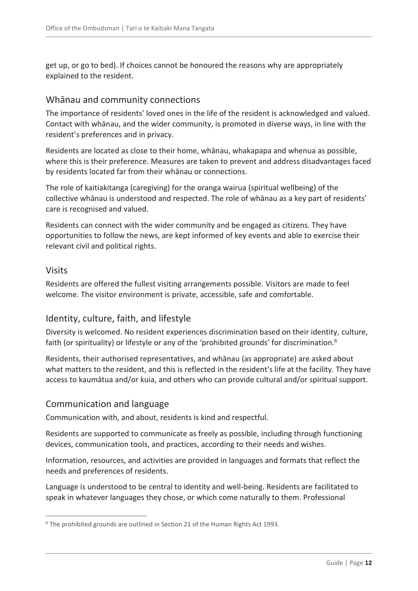get up, or go to bed). If choices cannot be honoured the reasons why are appropriately explained to the resident.

#### <span id="page-11-0"></span>Whānau and community connections

The importance of residents' loved ones in the life of the resident is acknowledged and valued. Contact with whānau, and the wider community, is promoted in diverse ways, in line with the resident's preferences and in privacy.

Residents are located as close to their home, whānau, whakapapa and whenua as possible, where this is their preference. Measures are taken to prevent and address disadvantages faced by residents located far from their whānau or connections.

The role of kaitiakitanga (caregiving) for the oranga wairua (spiritual wellbeing) of the collective whānau is understood and respected. The role of whānau as a key part of residents' care is recognised and valued.

Residents can connect with the wider community and be engaged as citizens. They have opportunities to follow the news, are kept informed of key events and able to exercise their relevant civil and political rights.

#### <span id="page-11-1"></span>Visits

 $\overline{a}$ 

Residents are offered the fullest visiting arrangements possible. Visitors are made to feel welcome. The visitor environment is private, accessible, safe and comfortable.

# <span id="page-11-2"></span>Identity, culture, faith, and lifestyle

Diversity is welcomed. No resident experiences discrimination based on their identity, culture, faith (or spirituality) or lifestyle or any of the 'prohibited grounds' for discrimination.<sup>6</sup>

Residents, their authorised representatives, and whānau (as appropriate) are asked about what matters to the resident, and this is reflected in the resident's life at the facility. They have access to kaumātua and/or kuia, and others who can provide cultural and/or spiritual support.

# <span id="page-11-3"></span>Communication and language

Communication with, and about, residents is kind and respectful.

Residents are supported to communicate as freely as possible, including through functioning devices, communication tools, and practices, according to their needs and wishes.

Information, resources, and activities are provided in languages and formats that reflect the needs and preferences of residents.

Language is understood to be central to identity and well-being. Residents are facilitated to speak in whatever languages they chose, or which come naturally to them. Professional

 $6$  The prohibited grounds are outlined in Section 21 of the Human Rights Act 1993.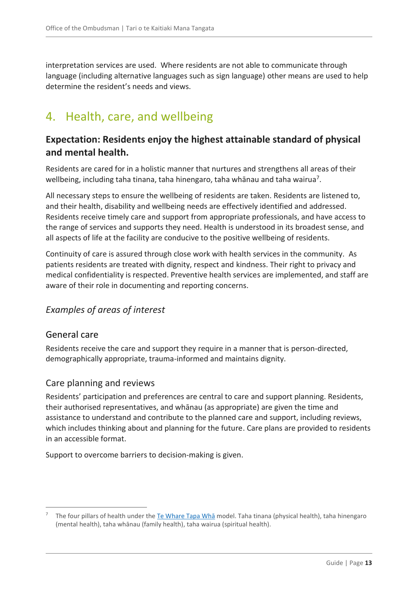interpretation services are used. Where residents are not able to communicate through language (including alternative languages such as sign language) other means are used to help determine the resident's needs and views.

# <span id="page-12-0"></span>4. Health, care, and wellbeing

# <span id="page-12-1"></span>**Expectation: Residents enjoy the highest attainable standard of physical and mental health.**

Residents are cared for in a holistic manner that nurtures and strengthens all areas of their wellbeing, including taha tinana, taha hinengaro, taha whānau and taha wairua<sup>7</sup>.

All necessary steps to ensure the wellbeing of residents are taken. Residents are listened to, and their health, disability and wellbeing needs are effectively identified and addressed. Residents receive timely care and support from appropriate professionals, and have access to the range of services and supports they need. Health is understood in its broadest sense, and all aspects of life at the facility are conducive to the positive wellbeing of residents.

Continuity of care is assured through close work with health services in the community. As patients residents are treated with dignity, respect and kindness. Their right to privacy and medical confidentiality is respected. Preventive health services are implemented, and staff are aware of their role in documenting and reporting concerns.

# <span id="page-12-3"></span><span id="page-12-2"></span>*Examples of areas of interest*

#### General care

 $\overline{a}$ 

Residents receive the care and support they require in a manner that is person-directed, demographically appropriate, trauma-informed and maintains dignity.

# <span id="page-12-4"></span>Care planning and reviews

Residents' participation and preferences are central to care and support planning. Residents, their authorised representatives, and whānau (as appropriate) are given the time and assistance to understand and contribute to the planned care and support, including reviews, which includes thinking about and planning for the future. Care plans are provided to residents in an accessible format.

Support to overcome barriers to decision-making is given.

The four pillars of health under the [Te Whare Tapa W](https://www.health.govt.nz/our-work/populations/maori-health/maori-health-models/maori-health-models-te-whare-tapa-wha)ha model. Taha tinana (physical health), taha hinengaro (mental health), taha whānau (family health), taha wairua (spiritual health).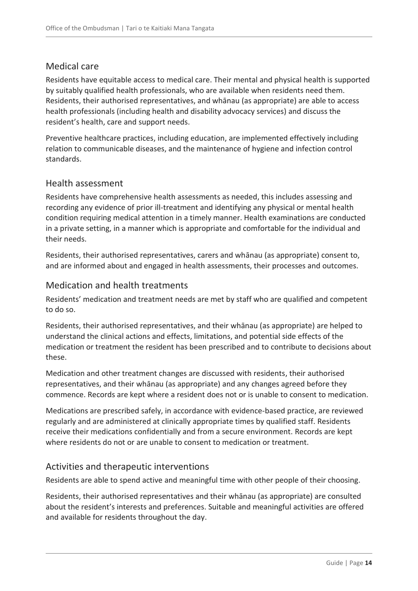# <span id="page-13-0"></span>Medical care

Residents have equitable access to medical care. Their mental and physical health is supported by suitably qualified health professionals, who are available when residents need them. Residents, their authorised representatives, and whānau (as appropriate) are able to access health professionals (including health and disability advocacy services) and discuss the resident's health, care and support needs.

Preventive healthcare practices, including education, are implemented effectively including relation to communicable diseases, and the maintenance of hygiene and infection control standards.

#### <span id="page-13-1"></span>Health assessment

Residents have comprehensive health assessments as needed, this includes assessing and recording any evidence of prior ill-treatment and identifying any physical or mental health condition requiring medical attention in a timely manner. Health examinations are conducted in a private setting, in a manner which is appropriate and comfortable for the individual and their needs.

Residents, their authorised representatives, carers and whānau (as appropriate) consent to, and are informed about and engaged in health assessments, their processes and outcomes.

# <span id="page-13-2"></span>Medication and health treatments

Residents' medication and treatment needs are met by staff who are qualified and competent to do so.

Residents, their authorised representatives, and their whānau (as appropriate) are helped to understand the clinical actions and effects, limitations, and potential side effects of the medication or treatment the resident has been prescribed and to contribute to decisions about these.

Medication and other treatment changes are discussed with residents, their authorised representatives, and their whānau (as appropriate) and any changes agreed before they commence. Records are kept where a resident does not or is unable to consent to medication.

Medications are prescribed safely, in accordance with evidence-based practice, are reviewed regularly and are administered at clinically appropriate times by qualified staff. Residents receive their medications confidentially and from a secure environment. Records are kept where residents do not or are unable to consent to medication or treatment.

# <span id="page-13-3"></span>Activities and therapeutic interventions

Residents are able to spend active and meaningful time with other people of their choosing.

Residents, their authorised representatives and their whānau (as appropriate) are consulted about the resident's interests and preferences. Suitable and meaningful activities are offered and available for residents throughout the day.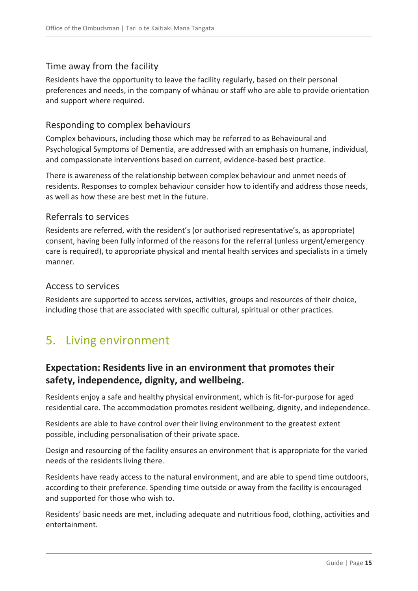# <span id="page-14-0"></span>Time away from the facility

Residents have the opportunity to leave the facility regularly, based on their personal preferences and needs, in the company of whānau or staff who are able to provide orientation and support where required.

# <span id="page-14-1"></span>Responding to complex behaviours

Complex behaviours, including those which may be referred to as Behavioural and Psychological Symptoms of Dementia, are addressed with an emphasis on humane, individual, and compassionate interventions based on current, evidence-based best practice.

There is awareness of the relationship between complex behaviour and unmet needs of residents. Responses to complex behaviour consider how to identify and address those needs, as well as how these are best met in the future.

# <span id="page-14-2"></span>Referrals to services

Residents are referred, with the resident's (or authorised representative's, as appropriate) consent, having been fully informed of the reasons for the referral (unless urgent/emergency care is required), to appropriate physical and mental health services and specialists in a timely manner.

#### <span id="page-14-3"></span>Access to services

Residents are supported to access services, activities, groups and resources of their choice, including those that are associated with specific cultural, spiritual or other practices.

# <span id="page-14-4"></span>5. Living environment

# <span id="page-14-5"></span>**Expectation: Residents live in an environment that promotes their safety, independence, dignity, and wellbeing.**

Residents enjoy a safe and healthy physical environment, which is fit-for-purpose for aged residential care. The accommodation promotes resident wellbeing, dignity, and independence.

Residents are able to have control over their living environment to the greatest extent possible, including personalisation of their private space.

Design and resourcing of the facility ensures an environment that is appropriate for the varied needs of the residents living there.

Residents have ready access to the natural environment, and are able to spend time outdoors, according to their preference. Spending time outside or away from the facility is encouraged and supported for those who wish to.

Residents' basic needs are met, including adequate and nutritious food, clothing, activities and entertainment.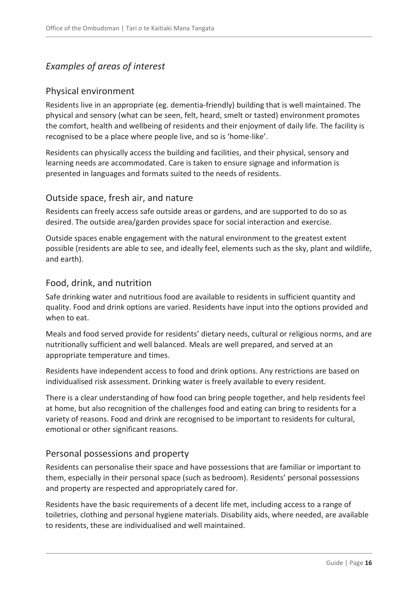# <span id="page-15-0"></span>*Examples of areas of interest*

# <span id="page-15-1"></span>Physical environment

Residents live in an appropriate (eg. dementia-friendly) building that is well maintained. The physical and sensory (what can be seen, felt, heard, smelt or tasted) environment promotes the comfort, health and wellbeing of residents and their enjoyment of daily life. The facility is recognised to be a place where people live, and so is 'home-like'.

Residents can physically access the building and facilities, and their physical, sensory and learning needs are accommodated. Care is taken to ensure signage and information is presented in languages and formats suited to the needs of residents.

# <span id="page-15-2"></span>Outside space, fresh air, and nature

Residents can freely access safe outside areas or gardens, and are supported to do so as desired. The outside area/garden provides space for social interaction and exercise.

Outside spaces enable engagement with the natural environment to the greatest extent possible (residents are able to see, and ideally feel, elements such as the sky, plant and wildlife, and earth).

# <span id="page-15-3"></span>Food, drink, and nutrition

Safe drinking water and nutritious food are available to residents in sufficient quantity and quality. Food and drink options are varied. Residents have input into the options provided and when to eat.

Meals and food served provide for residents' dietary needs, cultural or religious norms, and are nutritionally sufficient and well balanced. Meals are well prepared, and served at an appropriate temperature and times.

Residents have independent access to food and drink options. Any restrictions are based on individualised risk assessment. Drinking water is freely available to every resident.

There is a clear understanding of how food can bring people together, and help residents feel at home, but also recognition of the challenges food and eating can bring to residents for a variety of reasons. Food and drink are recognised to be important to residents for cultural, emotional or other significant reasons.

# <span id="page-15-4"></span>Personal possessions and property

Residents can personalise their space and have possessions that are familiar or important to them, especially in their personal space (such as bedroom). Residents' personal possessions and property are respected and appropriately cared for.

Residents have the basic requirements of a decent life met, including access to a range of toiletries, clothing and personal hygiene materials. Disability aids, where needed, are available to residents, these are individualised and well maintained.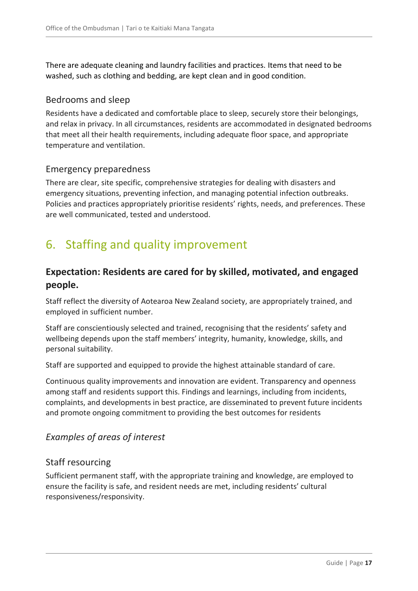There are adequate cleaning and laundry facilities and practices. Items that need to be washed, such as clothing and bedding, are kept clean and in good condition.

#### <span id="page-16-0"></span>Bedrooms and sleep

Residents have a dedicated and comfortable place to sleep, securely store their belongings, and relax in privacy. In all circumstances, residents are accommodated in designated bedrooms that meet all their health requirements, including adequate floor space, and appropriate temperature and ventilation.

#### <span id="page-16-1"></span>Emergency preparedness

There are clear, site specific, comprehensive strategies for dealing with disasters and emergency situations, preventing infection, and managing potential infection outbreaks. Policies and practices appropriately prioritise residents' rights, needs, and preferences. These are well communicated, tested and understood.

# <span id="page-16-2"></span>6. Staffing and quality improvement

# <span id="page-16-3"></span>**Expectation: Residents are cared for by skilled, motivated, and engaged people.**

Staff reflect the diversity of Aotearoa New Zealand society, are appropriately trained, and employed in sufficient number.

Staff are conscientiously selected and trained, recognising that the residents' safety and wellbeing depends upon the staff members' integrity, humanity, knowledge, skills, and personal suitability.

Staff are supported and equipped to provide the highest attainable standard of care.

Continuous quality improvements and innovation are evident. Transparency and openness among staff and residents support this. Findings and learnings, including from incidents, complaints, and developments in best practice, are disseminated to prevent future incidents and promote ongoing commitment to providing the best outcomes for residents

# <span id="page-16-4"></span>*Examples of areas of interest*

# <span id="page-16-5"></span>Staff resourcing

Sufficient permanent staff, with the appropriate training and knowledge, are employed to ensure the facility is safe, and resident needs are met, including residents' cultural responsiveness/responsivity.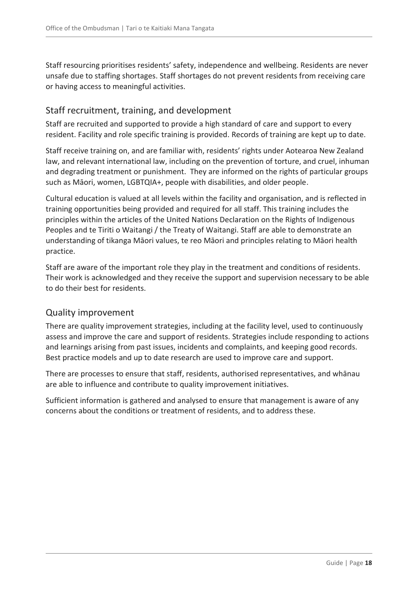Staff resourcing prioritises residents' safety, independence and wellbeing. Residents are never unsafe due to staffing shortages. Staff shortages do not prevent residents from receiving care or having access to meaningful activities.

# <span id="page-17-0"></span>Staff recruitment, training, and development

Staff are recruited and supported to provide a high standard of care and support to every resident. Facility and role specific training is provided. Records of training are kept up to date.

Staff receive training on, and are familiar with, residents' rights under Aotearoa New Zealand law, and relevant international law, including on the prevention of torture, and cruel, inhuman and degrading treatment or punishment. They are informed on the rights of particular groups such as Māori, women, LGBTQIA+, people with disabilities, and older people.

Cultural education is valued at all levels within the facility and organisation, and is reflected in training opportunities being provided and required for all staff. This training includes the principles within the articles of the United Nations Declaration on the Rights of Indigenous Peoples and te Tiriti o Waitangi / the Treaty of Waitangi. Staff are able to demonstrate an understanding of tikanga Māori values, te reo Māori and principles relating to Māori health practice.

Staff are aware of the important role they play in the treatment and conditions of residents. Their work is acknowledged and they receive the support and supervision necessary to be able to do their best for residents.

# <span id="page-17-1"></span>Quality improvement

There are quality improvement strategies, including at the facility level, used to continuously assess and improve the care and support of residents. Strategies include responding to actions and learnings arising from past issues, incidents and complaints, and keeping good records. Best practice models and up to date research are used to improve care and support.

There are processes to ensure that staff, residents, authorised representatives, and whānau are able to influence and contribute to quality improvement initiatives.

Sufficient information is gathered and analysed to ensure that management is aware of any concerns about the conditions or treatment of residents, and to address these.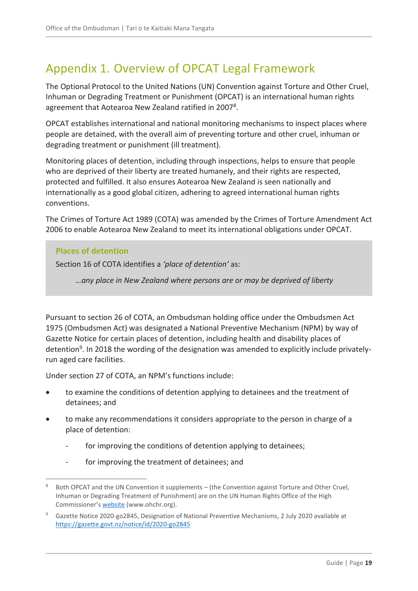# <span id="page-18-0"></span>Appendix 1. Overview of OPCAT Legal Framework

The Optional Protocol to the United Nations (UN) Convention against Torture and Other Cruel, Inhuman or Degrading Treatment or Punishment (OPCAT) is an international human rights agreement that Aotearoa New Zealand ratified in 2007<sup>8</sup>.

OPCAT establishes international and national monitoring mechanisms to inspect places where people are detained, with the overall aim of preventing torture and other cruel, inhuman or degrading treatment or punishment (ill treatment).

Monitoring places of detention, including through inspections, helps to ensure that people who are deprived of their liberty are treated humanely, and their rights are respected, protected and fulfilled. It also ensures Aotearoa New Zealand is seen nationally and internationally as a good global citizen, adhering to agreed international human rights conventions.

The Crimes of Torture Act 1989 (COTA) was amended by the Crimes of Torture Amendment Act 2006 to enable Aotearoa New Zealand to meet its international obligations under OPCAT.

#### **Places of detention**

 $\overline{a}$ 

Section 16 of COTA identifies a *'place of detention'* as:

*…any place in New Zealand where persons are or may be deprived of liberty*

Pursuant to section 26 of COTA, an Ombudsman holding office under the Ombudsmen Act 1975 (Ombudsmen Act) was designated a National Preventive Mechanism (NPM) by way of Gazette Notice for certain places of detention, including health and disability places of detention<sup>9</sup>. In 2018 the wording of the designation was amended to explicitly include privatelyrun aged care facilities.

Under section 27 of COTA, an NPM's functions include:

- to examine the conditions of detention applying to detainees and the treatment of detainees; and
- to make any recommendations it considers appropriate to the person in charge of a place of detention:
	- for improving the conditions of detention applying to detainees;
	- for improving the treatment of detainees; and

<sup>&</sup>lt;sup>8</sup> Both OPCAT and the UN Convention it supplements – (the Convention against Torture and Other Cruel, Inhuman or Degrading Treatment of Punishment) are on the UN Human Rights Office of the High Commissioner's [website](https://www.ohchr.org/EN/Pages/Home.aspx) (www.ohchr.org).

<sup>&</sup>lt;sup>9</sup> Gazette Notice 2020-go2845, Designation of National Preventive Mechanisms, 2 July 2020 available at <https://gazette.govt.nz/notice/id/2020-go2845>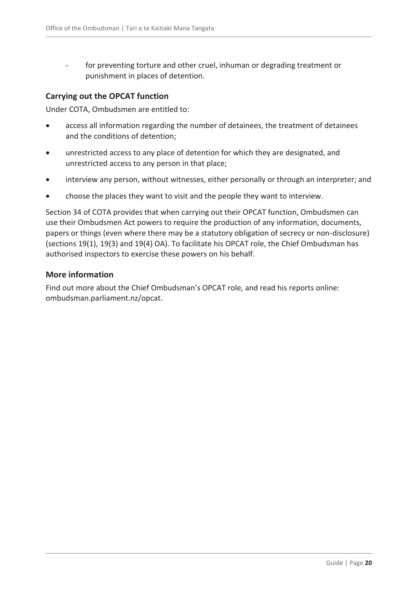for preventing torture and other cruel, inhuman or degrading treatment or punishment in places of detention.

#### **Carrying out the OPCAT function**

Under COTA, Ombudsmen are entitled to:

- access all information regarding the number of detainees, the treatment of detainees and the conditions of detention;
- unrestricted access to any place of detention for which they are designated, and unrestricted access to any person in that place;
- interview any person, without witnesses, either personally or through an interpreter; and
- choose the places they want to visit and the people they want to interview.

Section 34 of COTA provides that when carrying out their OPCAT function, Ombudsmen can use their Ombudsmen Act powers to require the production of any information, documents, papers or things (even where there may be a statutory obligation of secrecy or non-disclosure) (sections 19(1), 19(3) and 19(4) OA). To facilitate his OPCAT role, the Chief Ombudsman has authorised inspectors to exercise these powers on his behalf.

#### **More information**

Find out more about the Chief Ombudsman's OPCAT role, and read his reports online: ombudsman.parliament.nz/opcat.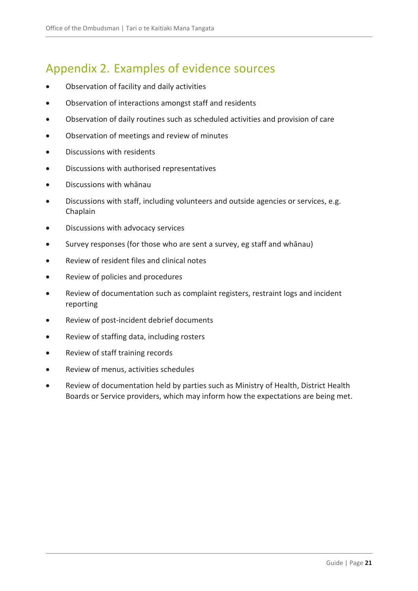# <span id="page-20-0"></span>Appendix 2. Examples of evidence sources

- Observation of facility and daily activities
- Observation of interactions amongst staff and residents
- Observation of daily routines such as scheduled activities and provision of care
- Observation of meetings and review of minutes
- Discussions with residents
- Discussions with authorised representatives
- Discussions with whānau
- Discussions with staff, including volunteers and outside agencies or services, e.g. Chaplain
- Discussions with advocacy services
- Survey responses (for those who are sent a survey, eg staff and whānau)
- Review of resident files and clinical notes
- Review of policies and procedures
- Review of documentation such as complaint registers, restraint logs and incident reporting
- Review of post-incident debrief documents
- Review of staffing data, including rosters
- Review of staff training records
- Review of menus, activities schedules
- Review of documentation held by parties such as Ministry of Health, District Health Boards or Service providers, which may inform how the expectations are being met.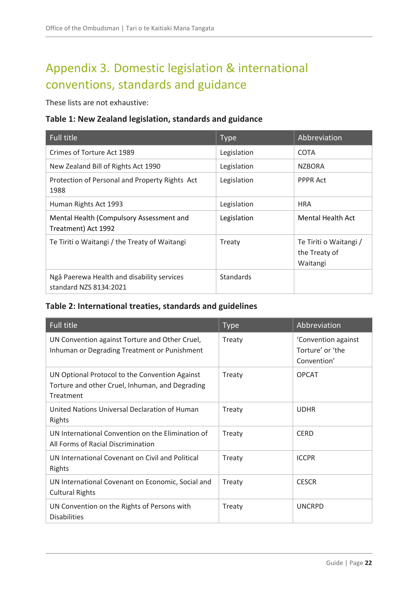# <span id="page-21-0"></span>Appendix 3. Domestic legislation & international conventions, standards and guidance

These lists are not exhaustive:

#### **Table 1: New Zealand legislation, standards and guidance**

| <b>Full title</b>                                                    | <b>Type</b> | Abbreviation                                        |
|----------------------------------------------------------------------|-------------|-----------------------------------------------------|
| Crimes of Torture Act 1989                                           | Legislation | <b>COTA</b>                                         |
| New Zealand Bill of Rights Act 1990                                  | Legislation | <b>NZBORA</b>                                       |
| Protection of Personal and Property Rights Act<br>1988               | Legislation | <b>PPPR Act</b>                                     |
| Human Rights Act 1993                                                | Legislation | <b>HRA</b>                                          |
| Mental Health (Compulsory Assessment and<br>Treatment) Act 1992      | Legislation | Mental Health Act                                   |
| Te Tiriti o Waitangi / the Treaty of Waitangi                        | Treaty      | Te Tiriti o Waitangi /<br>the Treaty of<br>Waitangi |
| Ngā Paerewa Health and disability services<br>standard NZS 8134:2021 | Standards   |                                                     |

# **Table 2: International treaties, standards and guidelines**

| Full title                                                                                                     | <b>Type</b>   | Abbreviation                                           |
|----------------------------------------------------------------------------------------------------------------|---------------|--------------------------------------------------------|
| UN Convention against Torture and Other Cruel,<br>Inhuman or Degrading Treatment or Punishment                 | Treaty        | 'Convention against<br>Torture' or 'the<br>Convention' |
| UN Optional Protocol to the Convention Against<br>Torture and other Cruel, Inhuman, and Degrading<br>Treatment | Treaty        | <b>OPCAT</b>                                           |
| United Nations Universal Declaration of Human<br>Rights                                                        | Treaty        | <b>UDHR</b>                                            |
| UN International Convention on the Elimination of<br>All Forms of Racial Discrimination                        | Treaty        | <b>CERD</b>                                            |
| UN International Covenant on Civil and Political<br>Rights                                                     | Treaty        | <b>ICCPR</b>                                           |
| UN International Covenant on Economic, Social and<br><b>Cultural Rights</b>                                    | <b>Treaty</b> | <b>CESCR</b>                                           |
| UN Convention on the Rights of Persons with<br><b>Disabilities</b>                                             | Treaty        | <b>UNCRPD</b>                                          |